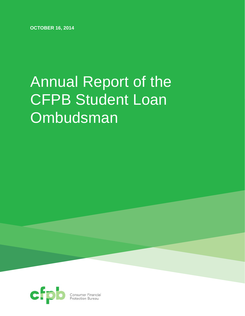**OCTOBER 16, 2014**

# Annual Report of the CFPB Student Loan Ombudsman



**Consumer Financial**<br>Protection Bureau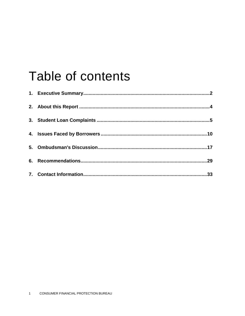### Table of contents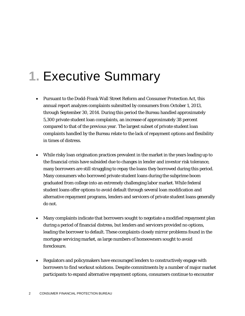### **1.** Executive Summary

- Pursuant to the Dodd-Frank Wall Street Reform and Consumer Protection Act, this annual report analyzes complaints submitted by consumers from October 1, 2013, through September 30, 2014. During this period the Bureau handled approximately 5,300 private student loan complaints, an increase of approximately 38 percent compared to that of the previous year. The largest subset of private student loan complaints handled by the Bureau relate to the lack of repayment options and flexibility in times of distress.
- While risky loan origination practices prevalent in the market in the years leading up to the financial crisis have subsided due to changes in lender and investor risk tolerance, many borrowers are still struggling to repay the loans they borrowed during this period. Many consumers who borrowed private student loans during the subprime boom graduated from college into an extremely challenging labor market. While federal student loans offer options to avoid default through several loan modification and alternative repayment programs, lenders and servicers of private student loans generally do not.
- Many complaints indicate that borrowers sought to negotiate a modified repayment plan during a period of financial distress, but lenders and servicers provided no options, leading the borrower to default. These complaints closely mirror problems found in the mortgage servicing market, as large numbers of homeowners sought to avoid foreclosure.
- Regulators and policymakers have encouraged lenders to constructively engage with borrowers to find workout solutions. Despite commitments by a number of major market participants to expand alternative repayment options, consumers continue to encounter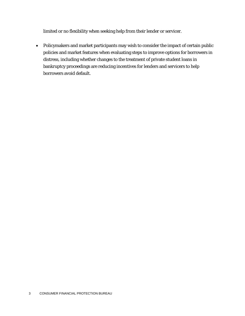limited or no flexibility when seeking help from their lender or servicer.

• Policymakers and market participants may wish to consider the impact of certain public policies and market features when evaluating steps to improve options for borrowers in distress, including whether changes to the treatment of private student loans in bankruptcy proceedings are reducing incentives for lenders and servicers to help borrowers avoid default.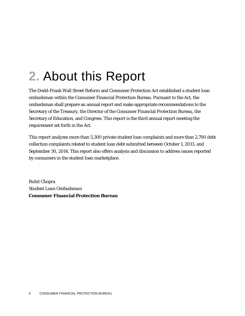## **2.** About this Report

The Dodd-Frank Wall Street Reform and Consumer Protection Act established a student loan ombudsman within the Consumer Financial Protection Bureau. Pursuant to the Act, the ombudsman shall prepare an annual report and make appropriate recommendations to the Secretary of the Treasury, the Director of the Consumer Financial Protection Bureau, the Secretary of Education, and Congress. This report is the third annual report meeting the requirement set forth in the Act.

This report analyzes more than 5,300 private student loan complaints and more than 2,700 debt collection complaints related to student loan debt submitted between October 1, 2013, and September 30, 2014. This report also offers analysis and discussion to address issues reported by consumers in the student loan marketplace.

Rohit Chopra *Student Loan Ombudsman* **Consumer Financial Protection Bureau**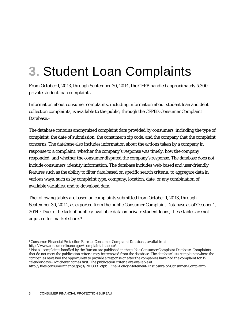## **3.** Student Loan Complaints

From October 1, 2013, through September 30, 2014, the CFPB handled approximately 5,300 private student loan complaints.

Information about consumer complaints, including information about student loan and debt collection complaints, is available to the public, through the CFPB's Consumer Complaint Database.<sup>[1](#page-5-0)</sup>

The database contains anonymized complaint data provided by consumers, including the type of complaint, the date of submission, the consumer's zip code, and the company that the complaint concerns. The database also includes information about the actions taken by a company in response to a complaint: whether the company's response was timely, how the company responded, and whether the consumer disputed the company's response. The database does not include consumers' identity information. The database includes web-based and user-friendly features such as the ability to filter data based on specific search criteria; to aggregate data in various ways, such as by complaint type, company, location, date, or any combination of available variables; and to download data.

The following tables are based on complaints submitted from October 1, 2013, through September 30, 2014, as exported from the public Consumer Complaint Database as of October 1, 2014.[2](#page-5-1) Due to the lack of publicly-available data on private student loans, these tables are not adjusted for market share.[3](#page-5-2)

<span id="page-5-0"></span> <sup>1</sup> Consumer Financial Protection Bureau, *Consumer Complaint Database, available at*  http://www.consumerfinance.gov/complaintdatabase/.

<span id="page-5-1"></span><sup>&</sup>lt;sup>2</sup> Not all complaints handled by the Bureau are published in the public Consumer Complaint Database. Complaints that do not meet the publication criteria may be removed from the database. The database lists complaints where the companies have had the opportunity to provide a response or after the companies have had the complaint for 15 calendar days - whichever comes first. The publication criteria are available at

<span id="page-5-2"></span>http://files.consumerfinance.gov/f/201303\_cfpb\_Final-Policy-Statement-Disclosure-of-Consumer-Complaint-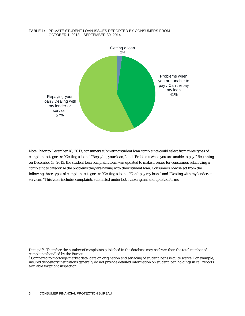

**TABLE 1:** PRIVATE STUDENT LOAN ISSUES REPORTED BY CONSUMERS FROM OCTOBER 1, 2013 – SEPTEMBER 30, 2014

Note: Prior to December 18, 2013, consumers submitting student loan complaints could select from three types of complaint categories: "Getting a loan," "Repaying your loan," and "Problems when you are unable to pay." Beginning on December 18, 2013, the student loan complaint form was updated to make it easier for consumers submitting a complaint to categorize the problems they are having with their student loan. Consumers now select from the following three types of complaint categories: "Getting a loan," "Can't pay my loan," and "Dealing with my lender or servicer." This table includes complaints submitted under both the original and updated forms.

Data.pdf/. Therefore the number of complaints published in the database may be fewer than the total number of complaints handled by the Bureau.

<sup>3</sup> Compared to mortgage market data, data on origination and servicing of student loans is quite scarce. For example, insured depository institutions generally do not provide detailed information on student loan holdings in call reports available for public inspection.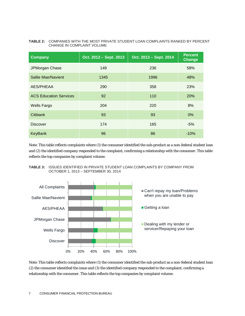#### **TABLE 2:** COMPANIES WITH THE MOST PRIVATE STUDENT LOAN COMPLAINTS RANKED BY PERCENT CHANGE IN COMPLAINT VOLUME

| <b>Company</b>                | Oct. 2012 - Sept. 2013 | Oct. 2013 - Sept. 2014 | <b>Percent</b><br><b>Change</b> |
|-------------------------------|------------------------|------------------------|---------------------------------|
| JPMorgan Chase                | 149                    | 236                    | 58%                             |
| <b>Sallie Mae/Navient</b>     | 1345                   | 1996                   | 48%                             |
| <b>AES/PHEAA</b>              | 290                    | 358                    | 23%                             |
| <b>ACS Education Services</b> | 92                     | 110                    | 20%                             |
| <b>Wells Fargo</b>            | 204                    | 220                    | 8%                              |
| <b>Citibank</b>               | 93                     | 93                     | 0%                              |
| <b>Discover</b>               | 174                    | 165                    | $-5%$                           |
| KeyBank                       | 96                     | 86                     | $-10\%$                         |

Note: This table reflects complaints where (1) the consumer identified the sub-product as a non-federal student loan and (2) the identified company responded to the complaint, confirming a relationship with the consumer. This table reflects the top companies by complaint volume.





Note: This table reflects complaints where (1) the consumer identified the sub-product as a non-federal student loan (2) the consumer identified the issue and (3) the identified company responded to the complaint, confirming a relationship with the consumer. This table reflects the top companies by complaint volume.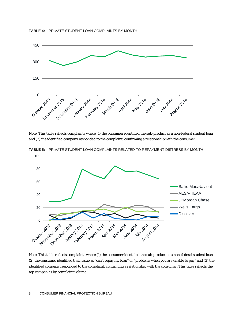



Note: This table reflects complaints where (1) the consumer identified the sub-product as a non-federal student loan and (2) the identified company responded to the complaint, confirming a relationship with the consumer.



**TABLE 5:** PRIVATE STUDENT LOAN COMPLAINTS RELATED TO REPAYMENT DISTRESS BY MONTH

Note: This table reflects complaints where (1) the consumer identified the sub-product as a non-federal student loan (2) the consumer identified their issue as "can't repay my loan" or "problems when you are unable to pay" and (3) the identified company responded to the complaint, confirming a relationship with the consumer. This table reflects the top companies by complaint volume.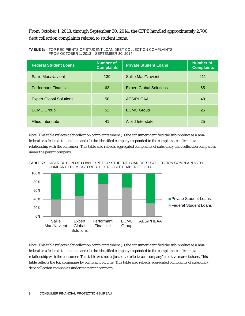From October 1, 2013, through September 30, 2014, the CFPB handled approximately 2,700 debt collection complaints related to student loans.

| <b>TABLE 6: TOP RECIPIENTS OF STUDENT LOAN DEBT COLLECTION COMPLAINTS</b> |
|---------------------------------------------------------------------------|
| FROM OCTOBER 1, 2013 – SEPTEMBER 30, 2014                                 |

| <b>Federal Student Loans</b>   | <b>Number of</b><br><b>Complaints</b> | <b>Private Student Loans</b>   | <b>Number of</b><br><b>Complaints</b> |
|--------------------------------|---------------------------------------|--------------------------------|---------------------------------------|
| Sallie Mae/Navient             | 139                                   | Sallie Mae/Navient             | 211                                   |
| <b>Performant Financial</b>    | 63                                    | <b>Expert Global Solutions</b> | 65                                    |
| <b>Expert Global Solutions</b> | 58                                    | AES/PHEAA                      | 48                                    |
| <b>ECMC Group</b>              | 52                                    | <b>ECMC Group</b>              | 25                                    |
| Allied Interstate              | 41                                    | Allied Interstate              | 25                                    |

Note: This table reflects debt collection complaints where (1) the consumer identified the sub-product as a nonfederal or a federal student loan and (2) the identified company responded to the complaint, confirming a relationship with the consumer. This table also reflects aggregated complaints of subsidiary debt collection companies under the parent company.





Note: This table reflects debt collection complaints where (1) the consumer identified the sub-product as a nonfederal or a federal student loan and (2) the identified company responded to the complaint, confirming a relationship with the consumer. This table was not adjusted to reflect each company's relative market share. This table reflects the top companies by complaint volume. This table also reflects aggregated complaints of subsidiary debt collection companies under the parent company.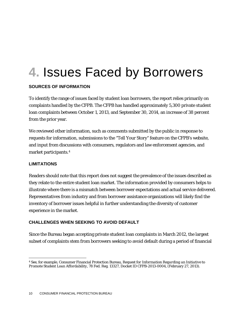## **4.** Issues Faced by Borrowers

#### **SOURCES OF INFORMATION**

To identify the range of issues faced by student loan borrowers, the report relies primarily on complaints handled by the CFPB. The CFPB has handled approximately 5,300 private student loan complaints between October 1, 2013, and September 30, 2014, an increase of 38 percent from the prior year.

We reviewed other information, such as comments submitted by the public in response to requests for information, submissions to the "Tell Your Story" feature on the CFPB's website, and input from discussions with consumers, regulators and law enforcement agencies, and market participants.[4](#page-10-0)

#### **LIMITATIONS**

Readers should note that this report does not suggest the prevalence of the issues described as they relate to the entire student loan market. The information provided by consumers helps to illustrate where there is a mismatch between borrower expectations and actual service delivered. Representatives from industry and from borrower assistance organizations will likely find the inventory of borrower issues helpful in further understanding the diversity of customer experience in the market.

#### **CHALLENGES WHEN SEEKING TO AVOID DEFAULT**

Since the Bureau began accepting private student loan complaints in March 2012, the largest subset of complaints stem from borrowers seeking to avoid default during a period of financial

<span id="page-10-0"></span> <sup>4</sup> *See*, for example, Consumer Financial Protection Bureau, *Request for Information Regarding an Initiative to Promote Student Loan Affordability*, 78 Fed. Reg. 13327, Docket ID CFPB-2013-0004, (February 27, 2013).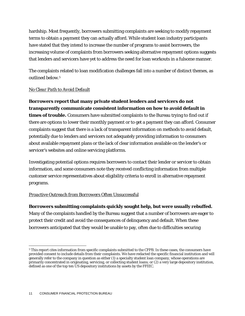hardship. Most frequently, borrowers submitting complaints are seeking to modify repayment terms to obtain a payment they can actually afford. While student loan industry participants have stated that they intend to increase the number of programs to assist borrowers, the increasing volume of complaints from borrowers seeking alternative repayment options suggests that lenders and servicers have yet to address the need for loan workouts in a fulsome manner.

The complaints related to loan modification challenges fall into a number of distinct themes, as outlined below.[5](#page-11-0)

#### *No Clear Path to Avoid Default*

**Borrowers report that many private student lenders and servicers do not transparently communicate consistent information on how to avoid default in times of trouble.** Consumers have submitted complaints to the Bureau trying to find out if there are options to lower their monthly payment or to get a payment they can afford. Consumer complaints suggest that there is a lack of transparent information on methods to avoid default, potentially due to lenders and servicers not adequately providing information to consumers about available repayment plans or the lack of clear information available on the lender's or servicer's websites and online servicing platforms.

Investigating potential options requires borrowers to contact their lender or servicer to obtain information, and some consumers note they received conflicting information from multiple customer service representatives about eligibility criteria to enroll in alternative repayment programs.

#### *Proactive Outreach from Borrowers Often Unsuccessful*

#### **Borrowers submitting complaints quickly sought help, but were usually rebuffed.**

Many of the complaints handled by the Bureau suggest that a number of borrowers are eager to protect their credit and avoid the consequences of delinquency and default. When these borrowers anticipated that they would be unable to pay, often due to difficulties securing

<span id="page-11-0"></span> <sup>5</sup> This report cites information from specific complaints submitted to the CFPB. In these cases, the consumers have provided consent to include details from their complaints. We have redacted the specific financial institution and will generally refer to the company in question as either (1) a specialty student loan company, whose operations are primarily concentrated in originating, servicing, or collecting student loans; or (2) a very large depository institution, defined as one of the top ten US depository institutions by assets by the FFIEC.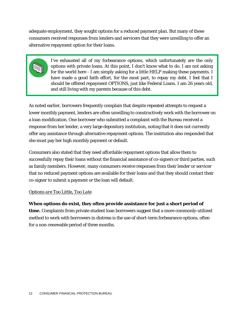adequate employment, they sought options for a reduced payment plan. But many of these consumers received responses from lenders and servicers that they were unwilling to offer an alternative repayment option for their loans.

> I've exhausted all of my forbearance options, which unfortunately are the only options with private loans. At this point, I don't know what to do. I am not asking for the world here - I am simply asking for a little HELP making these payments. I have made a good faith effort, for the most part, to repay my debt. I feel that I should be offered repayment OPTIONS, just like Federal Loans. I am 26 years old, and still living with my parents because of this debt.

As noted earlier, borrowers frequently complain that despite repeated attempts to request a lower monthly payment, lenders are often unwilling to constructively work with the borrower on a loan modification. One borrower who submitted a complaint with the Bureau received a response from her lender, a very large depository institution, noting that it does not currently offer any assistance through alternative repayment options. The institution also responded that she must pay her high monthly payment or default.

Consumers also stated that they need affordable repayment options that allow them to successfully repay their loans without the financial assistance of co-signers or third parties, such as family members. However, many consumers receive responses from their lender or servicer that no reduced payment options are available for their loans and that they should contact their co-signer to submit a payment or the loan will default.

#### *Options are Too Little, Too Late*

**When options do exist, they often provide assistance for just a short period of time.** Complaints from private student loan borrowers suggest that a more commonly-utilized method to work with borrowers in distress is the use of short-term forbearance options, often for a non-renewable period of three months.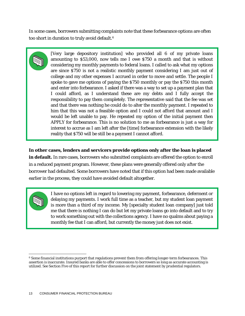In some cases, borrowers submitting complaints note that these forbearance options are often too short in duration to truly avoid default[.6](#page-13-0)

> [Very large depository institution] who provided all 6 of my private loans amounting to \$53,000, now tells me I owe \$750 a month and that is without considering my monthly payments to federal loans. I called to ask what my options are since \$750 is not a realistic monthly payment considering I am just out of college and my other expenses I accrued in order to move and settle. The people I spoke to gave me options of paying the \$750 monthly or pay the \$750 this month and enter into forbearance. I asked if there was a way to set up a payment plan that I could afford, as I understand these are my debts and I fully accept the responsibility to pay them completely. The representative said that the fee was set and that there was nothing he could do to alter the monthly payment. I repeated to him that this was not a feasible option and I could not afford that amount and I would be left unable to pay. He repeated my option of the initial payment then APPLY for forbearance. This is no solution to me as forbearance is just a way for interest to accrue as I am left after the [time] forbearance extension with the likely reality that \$750 will be still be a payment I cannot afford.

**In other cases, lenders and servicers provide options only after the loan is placed in default.** In rare cases, borrowers who submitted complaints are offered the option to enroll in a reduced payment program. However, these plans were generally offered only *after* the borrower had defaulted. Some borrowers have noted that if this option had been made available earlier in the process, they could have avoided default altogether.

> I have no options left in regard to lowering my payment, forbearance, deferment or delaying my payments. I work full time as a teacher, but my student loan payment is more than a third of my income. My [specialty student loan company] just told me that there is nothing I can do but let my private loans go into default and to try to work something out with the collections agency. I have no qualms about paying a monthly fee that I can afford, but currently the money just does not exist.

<span id="page-13-0"></span> <sup>6</sup> Some financial institutions purport that regulations prevent them from offering longer-term forbearances. This assertion is inaccurate. Insured banks are able to offer concessions to borrowers so long as accurate accounting is utilized. *See* Section Five of this report for further discussion on the joint statement by prudential regulators.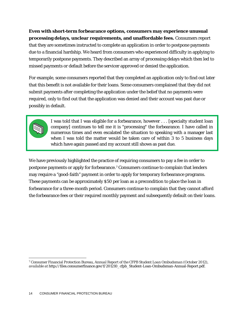**Even with short-term forbearance options, consumers may experience unusual processing delays, unclear requirements, and unaffordable fees.** Consumers report that they are sometimes instructed to complete an application in order to postpone payments due to a financial hardship. We heard from consumers who experienced difficulty in applying to temporarily postpone payments. They described an array of processing delays which then led to missed payments or default before the servicer approved or denied the application.

For example, some consumers reported that they completed an application only to find out later that this benefit is not available for their loans. Some consumers complained that they did not submit payments after completing the application under the belief that no payments were required, only to find out that the application was denied and their account was past due or possibly in default.



I was told that I was eligible for a forbearance, however . . . [specialty student loan company] continues to tell me it is "processing" the forbearance. I have called in numerous times and even escalated the situation to speaking with a manager last when I was told the matter would be taken care of within 3 to 5 business days which have again passed and my account still shows as past due.

We have previously highlighted the practice of requiring consumers to pay a fee in order to postpone payments or apply for forbearance.[7](#page-14-0) Consumers continue to complain that lenders may require a "good-faith" payment in order to apply for temporary forbearance programs. These payments can be approximately \$50 per loan as a precondition to place the loan in forbearance for a three-month period. Consumers continue to complain that they cannot afford the forbearance fees or their required monthly payment and subsequently default on their loans.

<span id="page-14-0"></span> <sup>7</sup> Consumer Financial Protection Bureau, *Annual Report of the CFPB Student Loan Ombudsman* (October 2012)*, available at* [http://files.consumerfinance.gov/f/201210\\_cfpb\\_Student-Loan-Ombudsman-Annual-Report.pdf.](http://files.consumerfinance.gov/f/201210_cfpb_Student-Loan-Ombudsman-Annual-Report.pdf)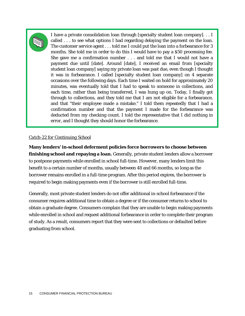I have a private consolidation loan through [specialty student loan company]. . . I called . . . to see what options I had regarding delaying the payment on the loan. The customer service agent . . . told me I could put the loan into a forbearance for 3 months. She told me in order to do this I would have to pay a \$50 processing fee. She gave me a confirmation number . . . and told me that I would not have a payment due until [date]. Around [date], I received an email from [specialty student loan company] saying my private loan was past due, even though I thought it was in forbearance. I called [specialty student loan company] on 4 separate occasions over the following days. Each time I waited on hold for approximately 20 minutes, was eventually told that I had to speak to someone in collections, and each time, rather than being transferred, I was hung up on. Today, I finally got through to collections, and they told me that I am not eligible for a forbearance, and that "their employee made a mistake." I told them repeatedly that I had a confirmation number and that the payment I made for the forbearance was deducted from my checking count. I told the representative that I did nothing in error, and I thought they should honor the forbearance.

#### *Catch-22 for Continuing School*

**Many lenders' in-school deferment policies force borrowers to choose between finishing school and repaying a loan.** Generally, private student lenders allow a borrower to postpone payments while enrolled in school full-time. However, many lenders limit this benefit to a certain number of months, usually between 48 and 66 months, so long as the borrower remains enrolled in a full-time program. After this period expires, the borrower is required to begin making payments even if the borrower is still enrolled full-time.

Generally, most private student lenders do not offer additional in-school forbearance if the consumer requires additional time to obtain a degree or if the consumer returns to school to obtain a graduate degree. Consumers complain that they are unable to begin making payments while enrolled in school and request additional forbearance in order to complete their program of study. As a result, consumers report that they were sent to collections or defaulted before graduating from school.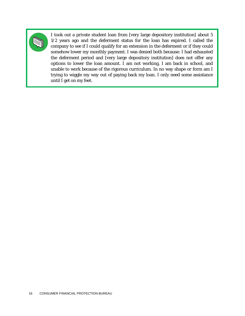

I took out a private student loan from [very large depository institution] about 5 1/2 years ago and the deferment status for the loan has expired. I called the company to see if I could qualify for an extension in the deferment or if they could somehow lower my monthly payment. I was denied both because: I had exhausted the deferment period and [very large depository institution] does not offer any options to lower the loan amount. I am not working, I am back in school, and unable to work because of the rigorous curriculum. In no way shape or form am I trying to wiggle my way out of paying back my loan. I only need some assistance until I get on my feet.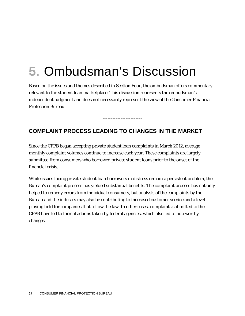## **5.** Ombudsman's Discussion

Based on the issues and themes described in Section Four, the ombudsman offers commentary relevant to the student loan marketplace. This discussion represents the ombudsman's independent judgment and does not necessarily represent the view of the Consumer Financial Protection Bureau.

------------------------

### **COMPLAINT PROCESS LEADING TO CHANGES IN THE MARKET**

Since the CFPB began accepting private student loan complaints in March 2012, average monthly complaint volumes continue to increase each year. These complaints are largely submitted from consumers who borrowed private student loans prior to the onset of the financial crisis.

While issues facing private student loan borrowers in distress remain a persistent problem, the Bureau's complaint process has yielded substantial benefits. The complaint process has not only helped to remedy errors from individual consumers, but analysis of the complaints by the Bureau and the industry may also be contributing to increased customer service and a levelplaying field for companies that follow the law. In other cases, complaints submitted to the CFPB have led to formal actions taken by federal agencies, which also led to noteworthy changes.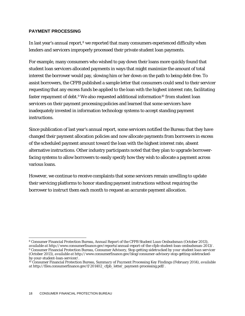#### **PAYMENT PROCESSING**

In last year's annual report,<sup>[8](#page-18-0)</sup> we reported that many consumers experienced difficulty when lenders and servicers improperly processed their private student loan payments.

For example, many consumers who wished to pay down their loans more quickly found that student loan servicers allocated payments in ways that might maximize the amount of total interest the borrower would pay, slowing him or her down on the path to being debt-free. To assist borrowers, the CFPB published a sample letter that consumers could send to their servicer requesting that any excess funds be applied to the loan with the highest interest rate, facilitating faster repayment of debt.<sup>[9](#page-18-1)</sup> We also requested additional information<sup>[10](#page-18-2)</sup> from student loan servicers on their payment processing policies and learned that some servicers have inadequately invested in information technology systems to accept standing payment instructions.

Since publication of last year's annual report, some servicers notified the Bureau that they have changed their payment allocation policies and now allocate payments from borrowers in excess of the scheduled payment amount toward the loan with the highest interest rate, absent alternative instructions. Other industry participants noted that they plan to upgrade borrowerfacing systems to allow borrowers to easily specify how they wish to allocate a payment across various loans.

However, we continue to receive complaints that some servicers remain unwilling to update their servicing platforms to honor standing payment instructions without requiring the borrower to instruct them each month to request an accurate payment allocation.

<span id="page-18-1"></span><span id="page-18-0"></span> <sup>8</sup> Consumer Financial Protection Bureau, *Annual Report of the CFPB Student Loan Ombudsman* (October 2013), *available at* http://www.consumerfinance.gov/reports/annual-report-of-the-cfpb-student-loan-ombudsman-2013/. <sup>9</sup> Consumer Financial Protection Bureau, Consumer Advisory, *Stop getting sidetracked by your student loan servicer*  (October 2013)*, available at* http://www.consumerfinance.gov/blog/consumer-advisory-stop-getting-sidetrackedby-your-student-loan-servicer/.<br><sup>10</sup> Consumer Financial Protection Bureau, *Summary of Payment Processing Key Findings* (February 2014), *available* 

<span id="page-18-2"></span>*at* http://files.consumerfinance.gov/f/201402\_cfpb\_letter\_payment-processing.pdf/.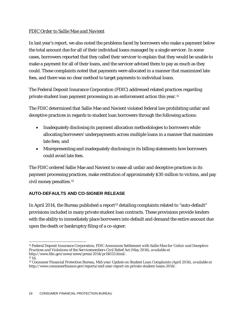#### *FDIC Order to Sallie Mae and Navient*

In last year's report, we also noted the problems faced by borrowers who make a payment below the total amount due for all of their individual loans managed by a single servicer. In some cases, borrowers reported that they called their servicer to explain that they would be unable to make a payment for all of their loans, and the servicer advised them to pay as much as they could. These complaints noted that payments were allocated in a manner that maximized late fees, and there was no clear method to target payments to individual loans.

The Federal Deposit Insurance Corporation (FDIC) addressed related practices regarding private student loan payment processing in an enforcement action this year.<sup>[11](#page-19-0)</sup>

The FDIC determined that Sallie Mae and Navient violated federal law prohibiting unfair and deceptive practices in regards to student loan borrowers through the following actions:

- Inadequately disclosing its payment allocation methodologies to borrowers while allocating borrowers' underpayments across multiple loans in a manner that maximizes late fees; and
- Misrepresenting and inadequately disclosing in its billing statements how borrowers could avoid late fees.

The FDIC ordered Sallie Mae and Navient to cease all unfair and deceptive practices in its payment processing practices, make restitution of approximately \$30 million to victims, and pay civil money penalties.[12](#page-19-1)

#### **AUTO-DEFAULTS AND CO-SIGNER RELEASE**

In April 2014, the Bureau published a report<sup>[13](#page-19-2)</sup> detailing complaints related to "auto-default" provisions included in many private student loan contracts. These provisions provide lenders with the ability to immediately place borrowers into default and demand the entire amount due upon the death or bankruptcy filing of a co-signer.

<span id="page-19-0"></span> <sup>11</sup> Federal Deposit Insurance Corporation, *FDIC Announces Settlement with Sallie Mae for Unfair and Deceptive Practices and Violations of the Servicemembers Civil Relief Act* (May 2014), *available at* http://www.fdic.gov/news/news/press/2014/pr14033.html/. <sup>12</sup> *Id.*

<span id="page-19-2"></span><span id="page-19-1"></span><sup>13</sup> Consumer Financial Protection Bureau, *Mid-year Update on Student Loan Complaints* (April 2014), *available at* http://www.consumerfinance.gov/reports/mid-year-report-on-private-student-loans-2014/.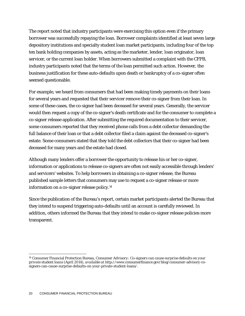The report noted that industry participants were exercising this option even if the primary borrower was successfully repaying the loan. Borrower complaints identified at least seven large depository institutions and specialty student loan market participants, including four of the top ten bank holding companies by assets, acting as the marketer, lender, loan originator, loan servicer, or the current loan holder. When borrowers submitted a complaint with the CFPB, industry participants noted that the terms of the loan permitted such action. However, the business justification for these auto-defaults upon death or bankruptcy of a co-signer often seemed questionable.

For example, we heard from consumers that had been making timely payments on their loans for several years and requested that their servicer remove their co-signer from their loan. In some of these cases, the co-signer had been deceased for several years. Generally, the servicer would then request a copy of the co-signer's death certificate and for the consumer to complete a co-signer release application. After submitting the required documentation to their servicer, some consumers reported that they received phone calls from a debt collector demanding the full balance of their loan or that a debt collector filed a claim against the deceased co-signer's estate. Some consumers stated that they told the debt collectors that their co-signer had been deceased for many years and the estate had closed.

Although many lenders offer a borrower the opportunity to release his or her co-signer, information or applications to release co-signers are often not easily accessible through lenders' and servicers' websites. To help borrowers in obtaining a co-signer release, the Bureau published sample letters that consumers may use to request a co-signer release or more information on a co-signer release policy.<sup>[14](#page-20-0)</sup>

Since the publication of the Bureau's report, certain market participants alerted the Bureau that they intend to suspend triggering auto-defaults until an account is carefully reviewed. In addition, others informed the Bureau that they intend to make co-signer release policies more transparent.

<span id="page-20-0"></span> <sup>14</sup> Consumer Financial Protection Bureau, *Consumer Advisory: Co-signers can cause surprise defaults on your private student loans* (April 2014)*, available at* http://www.consumerfinance.gov/blog/consumer-advisory-cosigners-can-cause-surprise-defaults-on-your-private-student-loans/.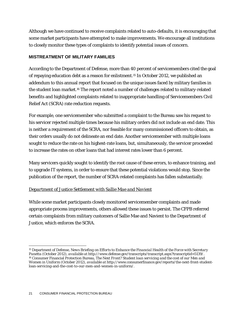Although we have continued to receive complaints related to auto-defaults, it is encouraging that some market participants have attempted to make improvements. We encourage all institutions to closely monitor these types of complaints to identify potential issues of concern.

#### **MISTREATMENT OF MILITARY FAMILIES**

According to the Department of Defense, more than 40 percent of servicemembers cited the goal of repaying education debt as a reason for enlistment.[15](#page-21-0) In October 2012, we published an addendum to this annual report that focused on the unique issues faced by military families in the student loan market.[16](#page-21-1) The report noted a number of challenges related to military-related benefits and highlighted complaints related to inappropriate handling of Servicemembers Civil Relief Act (SCRA) rate reduction requests.

For example, one servicemember who submitted a complaint to the Bureau saw his request to his servicer rejected multiple times because his military orders did not include an end date. This is neither a requirement of the SCRA, nor feasible for many commissioned officers to obtain, as their orders usually do not delineate an end date. Another servicemember with multiple loans sought to reduce the rate on his highest-rate loans, but, simultaneously, the servicer proceeded to increase the rates on other loans that had interest rates lower than 6 percent.

Many servicers quickly sought to identify the root cause of these errors, to enhance training, and to upgrade IT systems, in order to ensure that these potential violations would stop. Since the publication of the report, the number of SCRA-related complaints has fallen substantially.

#### *Department of Justice Settlement with Sallie Mae and Navient*

While some market participants closely monitored servicemember complaints and made appropriate process improvements, others allowed these issues to persist. The CFPB referred certain complaints from military customers of Sallie Mae and Navient to the Department of Justice, which enforces the SCRA.

<span id="page-21-1"></span><span id="page-21-0"></span> <sup>15</sup> Department of Defense, *News Briefing on Efforts to Enhance the Financial Health of the Force with Secretary Panetta* (October 2012)*, available at* http://www.defense.gov/transcripts/transcript.aspx?transcriptid=5139/. <sup>16</sup> Consumer Financial Protection Bureau, *The Next Front? Student loan servicing and the cost of our Men and Women in Uniform* (October 2012)*, available at* http://www.consumerfinance.gov/reports/the-next-front-studentloan-servicing-and-the-cost-to-our-men-and-women-in-uniform/.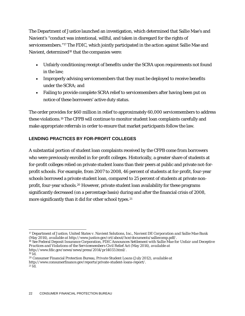The Department of Justice launched an investigation, which determined that Sallie Mae's and Navient's "conduct was intentional, willful, and taken in disregard for the rights of servicemembers."<sup>[17](#page-22-0)</sup> The FDIC, which jointly participated in the action against Sallie Mae and Navient, determined<sup>[18](#page-22-1)</sup> that the companies were:

- Unfairly conditioning receipt of benefits under the SCRA upon requirements not found in the law;
- Improperly advising servicemembers that they must be deployed to receive benefits under the SCRA; and
- Failing to provide complete SCRA relief to servicemembers after having been put on notice of these borrowers' active duty status.

The order provides for \$60 million in relief to approximately 60,000 servicemembers to address these violations.[19](#page-22-2) The CFPB will continue to monitor student loan complaints carefully and make appropriate referrals in order to ensure that market participants follow the law.

#### **LENDING PRACTICES BY FOR-PROFIT COLLEGES**

A substantial portion of student loan complaints received by the CFPB come from borrowers who were previously enrolled in for-profit colleges. Historically, a greater share of students at for-profit colleges relied on private student loans than their peers at public and private not-forprofit schools. For example, from 2007 to 2008, 46 percent of students at for-profit, four-year schools borrowed a private student loan, compared to 25 percent of students at private nonprofit, four-year schools.[20](#page-22-3) However, private student loan availability for these programs significantly decreased (on a percentage basis) during and after the financial crisis of 2008, more significantly than it did for other school types.<sup>[21](#page-22-4)</sup>

<span id="page-22-1"></span><sup>18</sup> See Federal Deposit Insurance Corporation, *FDIC Announces Settlement with Sallie Mae for Unfair and Deceptive Practices and Violations of the Servicemembers Civil Relief Act* (May 2014)*, available at* http://www.fdic.gov/news/news/press/2014/pr14033.html/.

- <span id="page-22-3"></span><sup>20</sup> Consumer Financial Protection Bureau, *Private Student Loans* (July 2012), *available at*
- http://www.consumerfinance.gov/reports/private-student-loans-report/.
- <span id="page-22-4"></span><sup>21</sup> *Id.*

<span id="page-22-0"></span> <sup>17</sup> Department of Justice, *United States v. Navient Solutions, Inc., Navient DE Corporation and Sallie Mae Bank* 

<span id="page-22-2"></span> $^{19}$  *Id.*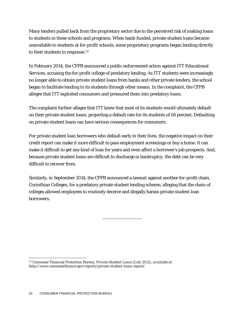Many lenders pulled back from the proprietary sector due to the perceived risk of making loans to students in these schools and programs. When bank-funded, private student loans became unavailable to students at for-profit schools, some proprietary programs began lending directly to their students in response.<sup>[22](#page-23-0)</sup>

In February 2014, the CFPB announced a public enforcement action against ITT Educational Services, accusing the for-profit college of predatory lending. As ITT students were increasingly no longer able to obtain private student loans from banks and other private lenders, the school began to facilitate lending to its students through other means. In the complaint, the CFPB alleges that ITT exploited consumers and pressured them into predatory loans.

The complaint further alleges that ITT knew that most of its students would ultimately default on their private student loans, projecting a default rate for its students of 64 percent. Defaulting on private student loans can have serious consequences for consumers.

For private student loan borrowers who default early in their lives, the negative impact on their credit report can make it more difficult to pass employment screenings or buy a home. It can make it difficult to get any kind of loan for years and even affect a borrower's job prospects. And, because private student loans are difficult to discharge in bankruptcy, the debt can be very difficult to recover from.

Similarly, in September 2014, the CFPB announced a lawsuit against another for-profit chain, Corinthian Colleges, for a predatory private student lending scheme, alleging that the chain of colleges allowed employees to routinely deceive and illegally harass private student loan borrowers.

------------------------

<span id="page-23-0"></span> <sup>22</sup> Consumer Financial Protection Bureau, *Private Student Loans* (July 2012), *available at* http://www.consumerfinance.gov/reports/private-student-loans-report/.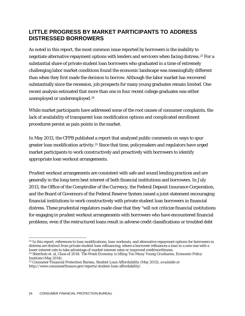### **LITTLE PROGRESS BY MARKET PARTICIPANTS TO ADDRESS DISTRESSED BORROWERS**

As noted in this report, the most common issue reported by borrowers is the inability to negotiate alternative repayment options with lenders and servicers when facing distress.[23](#page-24-0) For a substantial share of private student loan borrowers who graduated in a time of extremely challenging labor market conditions found the economic landscape was meaningfully different than when they first made the decision to borrow. Although the labor market has recovered substantially since the recession, job prospects for many young graduates remain limited. One recent analysis estimated that more than one in four recent college graduates was either unemployed or underemployed.[24](#page-24-1) 

While market participants have addressed some of the root causes of consumer complaints, the lack of availability of transparent loan modification options and complicated enrollment procedures persist as pain points in the market.

In May 2013, the CFPB published a report that analyzed public comments on ways to spur greater loan modification activity.[25](#page-24-2) Since that time, policymakers and regulators have urged market participants to work constructively and proactively with borrowers to identify appropriate loan workout arrangements.

Prudent workout arrangements are consistent with safe and sound lending practices and are generally in the long-term best interest of both financial institutions and borrowers. In July 2013, the Office of the Comptroller of the Currency, the Federal Deposit Insurance Corporation, and the Board of Governors of the Federal Reserve System issued a joint statement encouraging financial institutions to work constructively with private student loan borrowers in financial distress. These prudential regulators made clear that they "will not criticize financial institutions for engaging in prudent workout arrangements with borrowers who have encountered financial problems, even if the restructured loans result in adverse credit classifications or troubled debt

<span id="page-24-0"></span><sup>&</sup>lt;sup>23</sup> In this report, references to loan modifications, loan workouts, and alternative repayment options for borrowers in distress are distinct from private student loan refinancing, where a borrower refinances a loan to a new one with a lower interest rate to take advantage of market interest rates or improved creditworthiness.

<span id="page-24-1"></span><sup>24</sup> Sheirholz et. al, *Class of 2014: The Weak Economy is Idling Too Many Young Graduates*, Economic Policy Institute (May 2014).

<span id="page-24-2"></span><sup>25</sup> Consumer Financial Protection Bureau, *Student Loan Affordability* (May 2013)*, available at*  http://www.consumerfinance.gov/reports/student-loan-affordability/.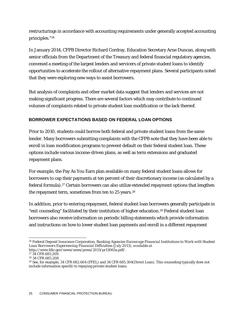restructurings in accordance with accounting requirements under generally accepted accounting principles."[26](#page-25-0)

In January 2014, CFPB Director Richard Cordray, Education Secretary Arne Duncan, along with senior officials from the Department of the Treasury and federal financial regulatory agencies, convened a meeting of the largest lenders and servicers of private student loans to identify opportunities to accelerate the rollout of alternative repayment plans. Several participants noted that they were exploring new ways to assist borrowers.

But analysis of complaints and other market data suggest that lenders and services are not making significant progress. There are several factors which may contribute to continued volumes of complaints related to private student loan modification or the lack thereof.

#### **BORROWER EXPECTATIONS BASED ON FEDERAL LOAN OPTIONS**

Prior to 2010, students could borrow both federal and private student loans from the same lender. Many borrowers submitting complaints with the CFPB note that they have been able to enroll in loan modification programs to prevent default on their federal student loan. These options include various income-driven plans, as well as term extensions and graduated repayment plans.

For example, the Pay As You Earn plan available on many federal student loans allows for borrowers to cap their payments at ten percent of their discretionary income (as calculated by a federal formula).[27](#page-25-1) Certain borrowers can also utilize extended repayment options that lengthen the repayment term, sometimes from ten to 25 years.<sup>[28](#page-25-2)</sup>

In addition, prior to entering repayment, federal student loan borrowers generally participate in "exit counseling" facilitated by their institution of higher education.[29](#page-25-3) Federal student loan borrowers also receive information on periodic billing statements which provide information and instructions on how to lower student loan payments and enroll in a different repayment

<span id="page-25-0"></span> <sup>26</sup> Federal Deposit Insurance Corporation, *Banking Agencies Encourage Financial Institutions to Work with Student Loan Borrowers Experiencing Financial Difficulties* (July 2013), *available at* http://www.fdic.gov/news/news/press/2013/pr13065a.pdf/.

<span id="page-25-1"></span><sup>&</sup>lt;sup>27</sup> 34 CFR 685.209.

<span id="page-25-2"></span><sup>28</sup> 34 CFR 685.208.

<span id="page-25-3"></span><sup>29</sup> *See*, for example, 34 CFR 682.604 (FFEL) and 34 CFR 685.304(Direct Loan). This counseling typically does not include information specific to repaying private student loans.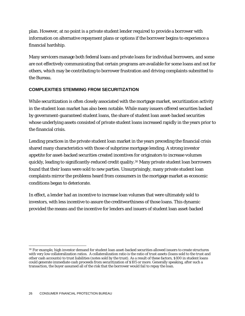plan. However, at no point is a private student lender required to provide a borrower with information on alternative repayment plans or options if the borrower begins to experience a financial hardship.

Many servicers manage both federal loans and private loans for individual borrowers, and some are not effectively communicating that certain programs are available for some loans and not for others, which may be contributing to borrower frustration and driving complaints submitted to the Bureau.

#### **COMPLEXITIES STEMMING FROM SECURITIZATION**

While securitization is often closely associated with the mortgage market, securitization activity in the student loan market has also been notable. While many issuers offered securities backed by government-guaranteed student loans, the share of student loan asset-backed securities whose underlying assets consisted of private student loans increased rapidly in the years prior to the financial crisis.

Lending practices in the private student loan market in the years preceding the financial crisis shared many characteristics with those of subprime mortgage lending. A strong investor appetite for asset-backed securities created incentives for originators to increase volumes quickly, leading to significantly-reduced credit quality.<sup>[30](#page-26-0)</sup> Many private student loan borrowers found that their loans were sold to new parties. Unsurprisingly, many private student loan complaints mirror the problems heard from consumers in the mortgage market as economic conditions began to deteriorate.

In effect, a lender had an incentive to increase loan volumes that were ultimately sold to investors, with less incentive to assure the creditworthiness of those loans. This dynamic provided the means and the incentive for lenders and issuers of student loan asset-backed

<span id="page-26-0"></span> <sup>30</sup> For example, high investor demand for student loan asset-backed securities allowed issuers to create structures with very low collateralization ratios. A collateralization ratio is the ratio of trust assets (loans sold to the trust and other cash accounts) to trust liabilities (notes sold by the trust). As a result of these factors, \$100 in student loans could generate immediate cash proceeds from securitization of \$105 or more. Generally speaking, after such a transaction, the buyer assumed all of the risk that the borrower would fail to repay the loan.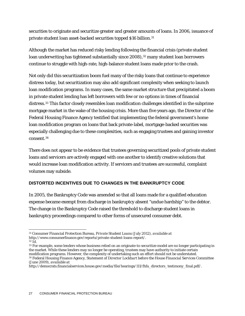securities to originate and securitize greater and greater amounts of loans. In 2006, issuance of private student loan asset-backed securities topped \$16 billion.[31](#page-27-0)

Although the market has reduced risky lending following the financial crisis (private student loan underwriting has tightened substantially since 2008),<sup>[32](#page-27-1)</sup> many student loan borrowers continue to struggle with high-rate, high-balance student loans made prior to the crash.

Not only did this securitization boom fuel many of the risky loans that continue to experience distress today, but securitization may also add significant complexity when seeking to launch loan modification programs. In many cases, the same market structure that precipitated a boom in private student lending has left borrowers with few or no options in times of financial distress.[33](#page-27-2) This factor closely resembles loan modification challenges identified in the subprime mortgage market in the wake of the housing crisis. More than five years ago, the Director of the Federal Housing Finance Agency testified that implementing the federal government's home loan modification program on loans that back private-label, mortgage-backed securities was especially challenging due to these complexities, such as engaging trustees and gaining investor consent.[34](#page-27-3)

There does not appear to be evidence that trustees governing securitized pools of private student loans and servicers are actively engaged with one another to identify creative solutions that would increase loan modification activity. If servicers and trustees are successful, complaint volumes may subside.

#### **DISTORTED INCENTIVES DUE TO CHANGES IN THE BANKRUPTCY CODE**

In 2005, the Bankruptcy Code was amended so that all loans made for a qualified education expense became exempt from discharge in bankruptcy absent "undue hardship" to the debtor. The change in the Bankruptcy Code raised the threshold to discharge student loans in bankruptcy proceedings compared to other forms of unsecured consumer debt.

<span id="page-27-2"></span><span id="page-27-1"></span><sup>33</sup> For example, some lenders whose business relied on an originate-to-securitize model are no longer participating in the market. While these lenders may no longer be operating, trustees may have authority to initiate certain modification programs. However, the complexity of undertaking such an effort should not be understated. <sup>34</sup> Federal Housing Finance Agency, *Statement of Director Lockhart before the House Financial Services Committee*  (June 2009), *available at* 

<span id="page-27-0"></span> <sup>31</sup> Consumer Financial Protection Bureau, *Private Student Loans* (July 2012), *available at* http://www.consumerfinance.gov/reports/private-student-loans-report/. 32 *Id.*

<span id="page-27-3"></span>http://democrats.financialservices.house.gov/media/file/hearings/111/fhfa\_directors\_testimony\_final.pdf/.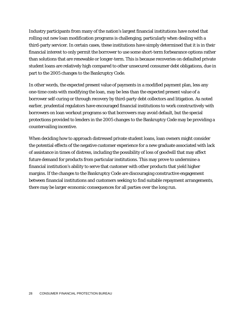Industry participants from many of the nation's largest financial institutions have noted that rolling out new loan modification programs is challenging, particularly when dealing with a third-party servicer. In certain cases, these institutions have simply determined that it is in their financial interest to only permit the borrower to use some short-term forbearance options rather than solutions that are renewable or longer-term. This is because recoveries on defaulted private student loans are relatively high compared to other unsecured consumer debt obligations, due in part to the 2005 changes to the Bankruptcy Code.

In other words, the expected present value of payments in a modified payment plan, less any one-time costs with modifying the loan, may be less than the expected present value of a borrower self-curing or through recovery by third-party debt collectors and litigation. As noted earlier, prudential regulators have encouraged financial institutions to work constructively with borrowers on loan workout programs so that borrowers may avoid default, but the special protections provided to lenders in the 2005 changes to the Bankruptcy Code may be providing a countervailing incentive.

When deciding how to approach distressed private student loans, loan owners might consider the potential effects of the negative customer experience for a new graduate associated with lack of assistance in times of distress, including the possibility of loss of goodwill that may affect future demand for products from particular institutions. This may prove to undermine a financial institution's ability to serve that customer with other products that yield higher margins. If the changes to the Bankruptcy Code are discouraging constructive engagement between financial institutions and customers seeking to find suitable repayment arrangements, there may be larger economic consequences for all parties over the long run.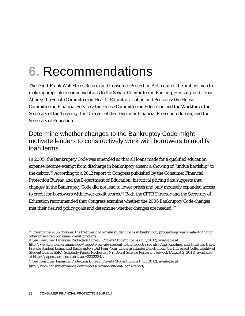## **6.** Recommendations

The Dodd-Frank Wall Street Reform and Consumer Protection Act requires the ombudsman to make appropriate recommendations to the Senate Committee on Banking, Housing, and Urban Affairs; the Senate Committee on Health, Education, Labor, and Pensions; the House Committee on Financial Services; the House Committee on Education and the Workforce, the Secretary of the Treasury, the Director of the Consumer Financial Protection Bureau, and the Secretary of Education.

Determine whether changes to the Bankruptcy Code might motivate lenders to constructively work with borrowers to modify loan terms.

In 2005, the Bankruptcy Code was amended so that all loans made for a qualified education expense became exempt from discharge in bankruptcy absent a showing of "undue hardship" to the debtor.<sup>[35](#page-29-0)</sup> According to a 2012 report to Congress published by the Consumer Financial Protection Bureau and the Department of Education, historical pricing data suggests that changes in the Bankruptcy Code did not lead to lower prices and only modestly expanded access to credit for borrowers with lower credit scores.<sup>[36](#page-29-1)</sup> Both the CFPB Director and the Secretary of Education recommended that Congress examine whether the 2005 Bankruptcy Code changes met their desired policy goals and determine whether changes are needed.<sup>[37](#page-29-2)</sup>

<span id="page-29-1"></span><sup>36</sup> *See* Consumer Financial Protection Bureau, *Private Student Loans* (July 2012), *available at*

<span id="page-29-0"></span> <sup>35</sup> Prior to the 2005 changes, the treatment of private student loans in bankruptcy proceedings was similar to that of other unsecured consumer credit products.

http://www.consumerfinance.gov/reports/private-student-loans-report/; *see also* Ang, Xiaoling, and Jiménez, Dalié, *Private Student Loans and Bankruptcy: Did Four-Year Undergraduates Benefit from the Increased Collectability of Student Loans*, SSRN Scholarly Paper, Rochester, NY: Social Science Research Network (August 2, 2014), *available at* http://papers.ssrn.com/abstract=2332284/.

<span id="page-29-2"></span><sup>37</sup> *See* Consumer Financial Protection Bureau, *Private Student Loans* (July 2012), *available at* http://www.consumerfinance.gov/reports/private-student-loans-report/.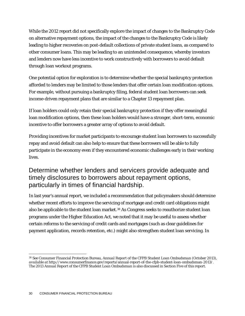While the 2012 report did not specifically explore the impact of changes to the Bankruptcy Code on alternative repayment options, the impact of the changes to the Bankruptcy Code is likely leading to higher recoveries on post-default collections of private student loans, as compared to other consumer loans. This may be leading to an unintended consequence, whereby investors and lenders now have less incentive to work constructively with borrowers to avoid default through loan workout programs.

One potential option for exploration is to determine whether the special bankruptcy protection afforded to lenders may be limited to those lenders that offer certain loan modification options. For example, without pursuing a bankruptcy filing, federal student loan borrowers can seek income-driven repayment plans that are similar to a Chapter 13 repayment plan.

If loan holders could only retain their special bankruptcy protection if they offer meaningful loan modification options, then these loan holders would have a stronger, short-term, economic incentive to offer borrowers a greater array of options to avoid default.

Providing incentives for market participants to encourage student loan borrowers to successfully repay and avoid default can also help to ensure that these borrowers will be able to fully participate in the economy even if they encountered economic challenges early in their working lives.

### Determine whether lenders and servicers provide adequate and timely disclosures to borrowers about repayment options, particularly in times of financial hardship.

In last year's annual report, we included a recommendation that policymakers should determine whether recent efforts to improve the servicing of mortgage and credit card obligations might also be applicable to the student loan market.[38](#page-30-0) As Congress seeks to reauthorize student loan programs under the Higher Education Act, we noted that it may be useful to assess whether certain reforms to the servicing of credit cards and mortgages (such as clear guidelines for payment application, records retention, etc.) might also strengthen student loan servicing. In

<span id="page-30-0"></span> <sup>38</sup> *See* Consumer Financial Protection Bureau, *Annual Report of the CFPB Student Loan Ombudsman* (October 2013), *available at* http://www.consumerfinance.gov/reports/annual-report-of-the-cfpb-student-loan-ombudsman-2013/. The 2013 *Annual Report of the CFPB Student Loan Ombudsman* is also discussed in Section Five of this report.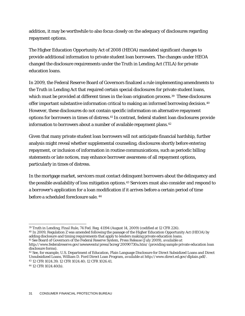addition, it may be worthwhile to also focus closely on the adequacy of disclosures regarding repayment options.

The Higher Education Opportunity Act of 2008 (HEOA) mandated significant changes to provide additional information to private student loan borrowers. The changes under HEOA changed the disclosure requirements under the Truth in Lending Act (TILA) for private education loans.

In 2009, the Federal Reserve Board of Governors finalized a rule implementing amendments to the Truth in Lending Act that required certain special disclosures for private student loans, which must be provided at different times in the loan origination process.<sup>[39](#page-31-0)</sup> These disclosures offer important substantive information critical to making an informed borrowing decision.<sup>[40](#page-31-1)</sup> However, these disclosures do not contain specific information on alternative repayment options for borrowers in times of distress.[41](#page-31-2) In contrast, federal student loan disclosures provide information to borrowers about a number of available repayment plans.<sup>[42](#page-31-3)</sup>

Given that many private student loan borrowers will not anticipate financial hardship, further analysis might reveal whether supplemental counseling, disclosures shortly before entering repayment, or inclusion of information in routine communications, such as periodic billing statements or late notices, may enhance borrower awareness of all repayment options, particularly in times of distress.

In the mortgage market, servicers must contact delinquent borrowers about the delinquency and the possible availability of loss mitigation options.[43](#page-31-4) Servicers must also consider and respond to a borrower's application for a loan modification if it arrives before a certain period of time before a scheduled foreclosure sale. [44](#page-31-5)

<span id="page-31-1"></span><span id="page-31-0"></span><sup>&</sup>lt;sup>39</sup> Truth in Lending, *Final Rule*, 74 Fed. Reg. 41194 (August 14, 2009) (codified at 12 CFR 226).<br><sup>40</sup> In 2009, Regulation Z was amended following the passage of the Higher Education Opportunity Act (HEOA) by adding disclosure and timing requirements that apply to lenders making private education loans.

<sup>41</sup> *See* Board of Governors of the Federal Reserve System, *Press Release* (July 2009)*, available at* 

<span id="page-31-2"></span>http://www.federalreserve.gov/newsevents/press/bcreg/20090730a.htm/ (providing sample private education loan disclosure forms).

<span id="page-31-3"></span><sup>42</sup> *See*, for example, U.S. Department of Education, Plain Language Disclosure for Direct Subsidized Loans and Direct Unsubsidized Loans, William D. Ford Direct Loan Program, *available at* http://www.direct.ed.gov/dlplain.pdf/. <sup>43</sup> 12 CFR 1024.39; 12 CFR 1024.40; 12 CFR 1026.41.

<span id="page-31-5"></span><span id="page-31-4"></span><sup>44</sup> 12 CFR 1024.40(b).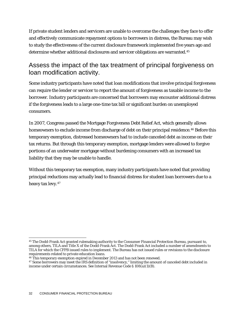If private student lenders and servicers are unable to overcome the challenges they face to offer and effectively communicate repayment options to borrowers in distress, the Bureau may wish to study the effectiveness of the current disclosure framework implemented five years ago and determine whether additional disclosures and servicer obligations are warranted.[45](#page-32-0)

### Assess the impact of the tax treatment of principal forgiveness on loan modification activity.

Some industry participants have noted that loan modifications that involve principal forgiveness can require the lender or servicer to report the amount of forgiveness as taxable income to the borrower. Industry participants are concerned that borrowers may encounter additional distress if the forgiveness leads to a large one-time tax bill or significant burden on unemployed consumers.

In 2007, Congress passed the Mortgage Forgiveness Debt Relief Act, which generally allows homeowners to exclude income from discharge of debt on their principal residence.<sup>[46](#page-32-1)</sup> Before this temporary exemption, distressed homeowners had to include canceled debt as income on their tax returns. But through this temporary exemption, mortgage lenders were allowed to forgive portions of an underwater mortgage without burdening consumers with an increased tax liability that they may be unable to handle.

Without this temporary tax exemption, many industry participants have noted that providing principal reductions may actually lead to financial distress for student loan borrowers due to a heavy tax levy.[47](#page-32-2)

<span id="page-32-0"></span> <sup>45</sup> The Dodd-Frank Act granted rulemaking authority to the Consumer Financial Protection Bureau, pursuant to, among others, TILA and Title X of the Dodd-Frank Act. The Dodd-Frank Act included a number of amendments to TILA for which the CFPB issued rules to implement. The Bureau has not issued rules or revisions to the disclosure requirements related to private education loans.<br><sup>46</sup> This temporary exemption expired in December 2013 and has not been renewed.

<span id="page-32-1"></span>

<span id="page-32-2"></span> $47$  Some borrowers may meet the IRS definition of "insolvency," limiting the amount of canceled debt included in income under certain circumstances. *See* Internal Revenue Code § 108(a)(1)(B).